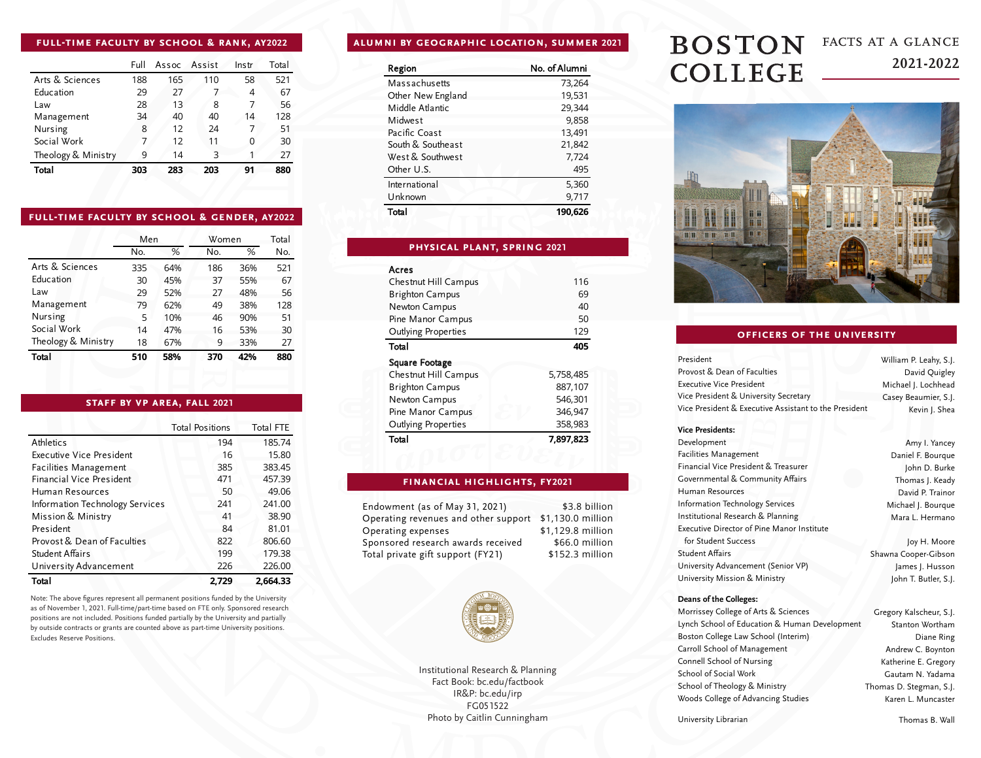## **full-time faculty by school & rank, ay2022**

|                     | Full | Assoc Assist |     | Instr | Total |
|---------------------|------|--------------|-----|-------|-------|
| Arts & Sciences     | 188  | 165          | 110 | 58    | 521   |
| Education           | 29   | 27           |     | 4     | 67    |
| Law                 | 28   | 13           | 8   | 7     | 56    |
| Management          | 34   | 40           | 40  | 14    | 128   |
| Nursing             | 8    | 12           | 24  | 7     | 51    |
| Social Work         | 7    | 12           | 11  | 0     | 30    |
| Theology & Ministry | 9    | 14           | 3   |       | 27    |
| Total               | 303  | 283          | 203 | 91    | 880   |

### **full-time faculty by school & gender, ay2022**

|                     | Men |     | Women |     | Total |
|---------------------|-----|-----|-------|-----|-------|
|                     | No. | %   | No.   | %   | No.   |
| Arts & Sciences     | 335 | 64% | 186   | 36% | 521   |
| Education           | 30  | 45% | 37    | 55% | 67    |
| Law                 | 29  | 52% | 27    | 48% | 56    |
| Management          | 79  | 62% | 49    | 38% | 128   |
| Nursing             | 5   | 10% | 46    | 90% | 51    |
| Social Work         | 14  | 47% | 16    | 53% | 30    |
| Theology & Ministry | 18  | 67% | 9     | 33% | 27    |
| Total               | 510 | 58% | 370   | 42% | 880   |

## **staff by vp area, fall 2021**

|                                 | <b>Total Positions</b> | <b>Total FTE</b> |
|---------------------------------|------------------------|------------------|
| Athletics                       | 194                    | 185.74           |
| Executive Vice President        | 16                     | 15.80            |
| <b>Facilities Management</b>    | 385                    | 383.45           |
| Financial Vice President        | 471                    | 457.39           |
| Human Resources                 | 50                     | 49.06            |
| Information Technology Services | 241                    | 241.00           |
| Mission & Ministry              | 41                     | 38.90            |
| President                       | 84                     | 81.01            |
| Provost & Dean of Faculties     | 822                    | 806.60           |
| Student Affairs                 | 199                    | 179.38           |
| University Advancement          | 226                    | 226.00           |
| Total                           | 2.729                  | 2.664.33         |

Note: The above figures represent all permanent positions funded by the University as of November 1, 2021. Full-time/part-time based on FTE only. Sponsored research positions are not included. Positions funded partially by the University and partially by outside contracts or grants are counted above as part-time University positions. Excludes Reserve Positions.

# **alumni by geographic location, summer 2021**

| Region            | No. of Alumni |
|-------------------|---------------|
| Massachusetts     | 73,264        |
| Other New England | 19,531        |
| Middle Atlantic   | 29,344        |
| Midwest           | 9,858         |
| Pacific Coast     | 13,491        |
| South & Southeast | 21,842        |
| West & Southwest  | 7,724         |
| Other U.S.        | 495           |
| International     | 5,360         |
| Unknown           | 9,717         |
| Total             | 190.626       |

### **physical plant, spring 2021**

| Acres                  |           |
|------------------------|-----------|
| Chestnut Hill Campus   | 116       |
| <b>Brighton Campus</b> | 69        |
| Newton Campus          | 40        |
| Pine Manor Campus      | 50        |
| Outlying Properties    | 129       |
| Total                  | 405       |
| Square Footage         |           |
| Chestnut Hill Campus   | 5,758,485 |
| <b>Brighton Campus</b> | 887,107   |
| Newton Campus          | 546.301   |
| Pine Manor Campus      | 346,947   |
| Outlying Properties    | 358,983   |
| Total                  | 7,897,823 |

### **financial highlights, fy2021**

\$3.8 billion

Endowment (as of May 31, 2021) Operating revenues and other support \$1,130.0 million Operating expenses Sponsored research awards received Total private gift support (FY21) \$1,129.8 million \$66.0 million \$152.3 million



Institutional Research & Planning Fact Book: bc.edu/factbook IR&P: bc.edu/irp FG051522 Photo by Caitlin Cunningham

## **BOSTON** facts at a glance **2021-2022 COLLEGE**



## **officers of the university**

| President                                             | William P. Leahy, S.J. |
|-------------------------------------------------------|------------------------|
| Provost & Dean of Faculties                           | David Quigley          |
| <b>Executive Vice President</b>                       | Michael J. Lochhead    |
| Vice President & University Secretary                 | Casey Beaumier, S.J.   |
| Vice President & Executive Assistant to the President | Kevin J. Shea          |

#### **Vice Presidents:**

| Development                                       |
|---------------------------------------------------|
| Facilities Management                             |
| Financial Vice President & Treasurer              |
| Governmental & Community Affairs                  |
| Human Resources                                   |
| <b>Information Technology Services</b>            |
| Institutional Research & Planning                 |
| <b>Executive Director of Pine Manor Institute</b> |
| for Student Success                               |
| <b>Student Affairs</b>                            |
| University Advancement (Senior VP)                |
|                                                   |

University Mission & Ministry

#### **Deans of the Colleges:**

Morrissey College of Arts & Sciences Lynch School of Education & Human Development Boston College Law School (Interim) Carroll School of Management Connell School of Nursing School of Social Work School of Theology & Ministry Woods College of Advancing Studies

Gregory Kalscheur, S.J. Stanton Wortham Diane Ring Andrew C. Boynton Katherine E. Gregory Gautam N. Yadama Thomas D. Stegman, S.J. Karen L. Muncaster

University Librarian

Thomas B. Wall

Amy I. Yancey Daniel F. Bourque John D. Burke Thomas I. Keady David P. Trainor Michael J. Bourque Mara L. Hermano

Joy H. Moore Shawna Cooper-Gibson James J. Husson John T. Butler, S.J.